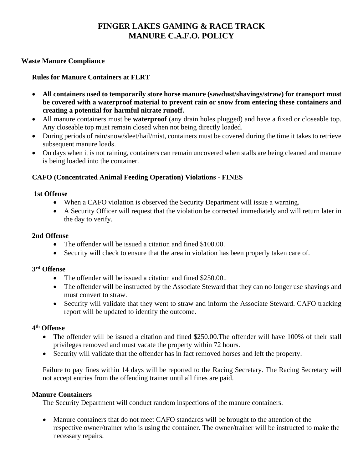# **FINGER LAKES GAMING & RACE TRACK MANURE C.A.F.O. POLICY**

### **Waste Manure Compliance**

## **Rules for Manure Containers at FLRT**

- **All containers used to temporarily store horse manure (sawdust/shavings/straw) for transport must be covered with a waterproof material to prevent rain or snow from entering these containers and creating a potential for harmful nitrate runoff.**
- All manure containers must be **waterproof** (any drain holes plugged) and have a fixed or closeable top. Any closeable top must remain closed when not being directly loaded.
- During periods of rain/snow/sleet/hail/mist, containers must be covered during the time it takes to retrieve subsequent manure loads.
- On days when it is not raining, containers can remain uncovered when stalls are being cleaned and manure is being loaded into the container.

# **CAFO (Concentrated Animal Feeding Operation) Violations - FINES**

#### **1st Offense**

- When a CAFO violation is observed the Security Department will issue a warning.
- A Security Officer will request that the violation be corrected immediately and will return later in the day to verify.

#### **2nd Offense**

- The offender will be issued a citation and fined \$100.00.
- Security will check to ensure that the area in violation has been properly taken care of.

## **3rd Offense**

- The offender will be issued a citation and fined \$250.00.
- The offender will be instructed by the Associate Steward that they can no longer use shavings and must convert to straw.
- Security will validate that they went to straw and inform the Associate Steward. CAFO tracking report will be updated to identify the outcome.

#### **4th Offense**

- The offender will be issued a citation and fined \$250.00. The offender will have 100% of their stall privileges removed and must vacate the property within 72 hours.
- Security will validate that the offender has in fact removed horses and left the property.

Failure to pay fines within 14 days will be reported to the Racing Secretary. The Racing Secretary will not accept entries from the offending trainer until all fines are paid.

#### **Manure Containers**

The Security Department will conduct random inspections of the manure containers.

• Manure containers that do not meet CAFO standards will be brought to the attention of the respective owner/trainer who is using the container. The owner/trainer will be instructed to make the necessary repairs.